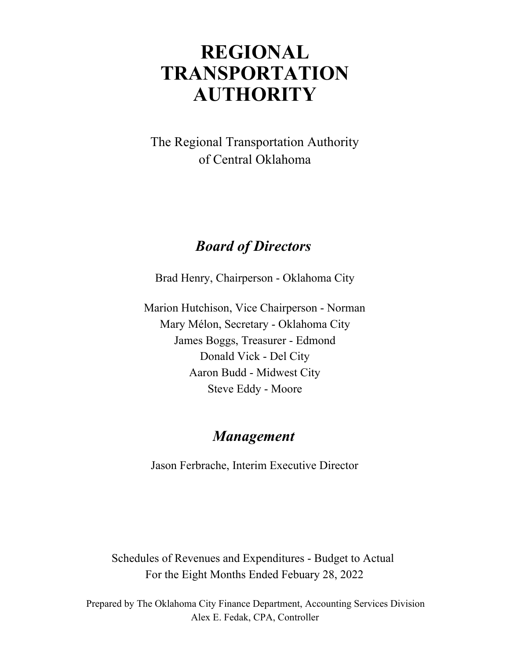# **REGIONAL AUTHORITY TRANSPORTATION**

of Central Oklahoma The Regional Transportation Authority

# *Board of Directors*

Brad Henry, Chairperson - Oklahoma City

Marion Hutchison, Vice Chairperson - Norman Aaron Budd - Midwest City Steve Eddy - Moore Mary Mélon, Secretary - Oklahoma City James Boggs, Treasurer - Edmond Donald Vick - Del City

## *Management*

Jason Ferbrache, Interim Executive Director

Schedules of Revenues and Expenditures - Budget to Actual For the Eight Months Ended Febuary 28, 2022

Alex E. Fedak, CPA, Controller Prepared by The Oklahoma City Finance Department, Accounting Services Division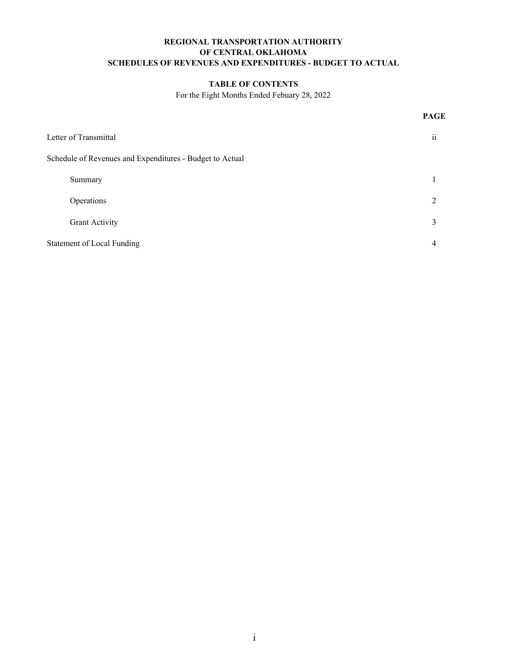### **REGIONAL TRANSPORTATION AUTHORITY SCHEDULES OF REVENUES AND EXPENDITURES - BUDGET TO ACTUAL OF CENTRAL OKLAHOMA**

### **TABLE OF CONTENTS**

For the Eight Months Ended Febuary 28, 2022

**PAGE**

| Letter of Transmittal                                    | $\ddot{\mathbf{i}}$ |
|----------------------------------------------------------|---------------------|
| Schedule of Revenues and Expenditures - Budget to Actual |                     |
| Summary                                                  |                     |
| Operations                                               | $\mathcal{L}$       |
| <b>Grant Activity</b>                                    | 3                   |
| Statement of Local Funding                               | 4                   |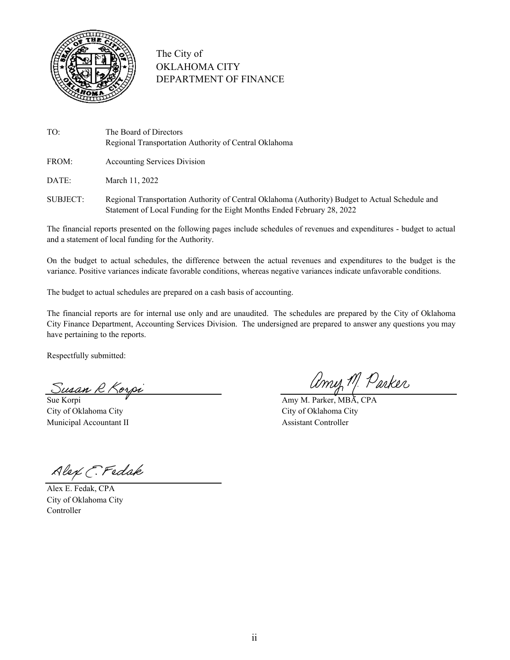

### The City of OKLAHOMA CITY DEPARTMENT OF FINANCE

- TO: The Board of Directors Regional Transportation Authority of Central Oklahoma
- FROM: Accounting Services Division

DATE: March 11, 2022

SUBJECT: Regional Transportation Authority of Central Oklahoma (Authority) Budget to Actual Schedule and Statement of Local Funding for the Eight Months Ended February 28, 2022

The financial reports presented on the following pages include schedules of revenues and expenditures - budget to actual and a statement of local funding for the Authority.

On the budget to actual schedules, the difference between the actual revenues and expenditures to the budget is the variance. Positive variances indicate favorable conditions, whereas negative variances indicate unfavorable conditions.

The budget to actual schedules are prepared on a cash basis of accounting.

The financial reports are for internal use only and are unaudited. The schedules are prepared by the City of Oklahoma City Finance Department, Accounting Services Division. The undersigned are prepared to answer any questions you may have pertaining to the reports.

Respectfully submitted:

Susan R Korpi MIII, 1<sup>.</sup> WILLY

City of Oklahoma City City of Oklahoma City Municipal Accountant II Assistant Controller

amy M. Parker

Alex E. Fedak

Alex E. Fedak, CPA City of Oklahoma City Controller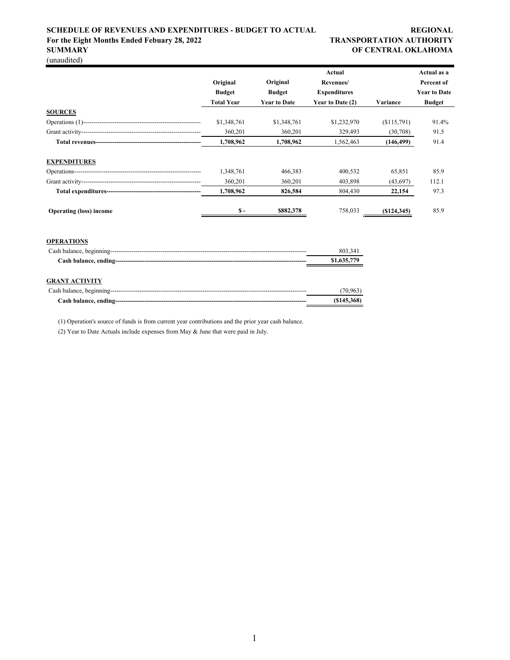### **SCHEDULE OF REVENUES AND EXPENDITURES - BUDGET TO ACTUAL REGIONAL REGIONAL** For the Eight Months Ended Febuary 28, 2022 TRANSPORTATION AUTHORITY **SUMMARY OF CENTRAL OKLAHOMA**

(unaudited)

|                                |                   |                     | Actual              |               | Actual as a         |
|--------------------------------|-------------------|---------------------|---------------------|---------------|---------------------|
|                                | Original          | Original            | Revenues/           |               | Percent of          |
|                                | <b>Budget</b>     | <b>Budget</b>       | <b>Expenditures</b> |               | <b>Year to Date</b> |
|                                | <b>Total Year</b> | <b>Year to Date</b> | Year to Date (2)    | Variance      | <b>Budget</b>       |
| <b>SOURCES</b>                 |                   |                     |                     |               |                     |
|                                | \$1,348,761       | \$1,348,761         | \$1,232,970         | (S115,791)    | 91.4%               |
|                                | 360,201           | 360,201             | 329,493             | (30,708)      | 91.5                |
|                                | 1,708,962         | 1,708,962           | 1,562,463           | (146, 499)    | 91.4                |
| <b>EXPENDITURES</b>            |                   |                     |                     |               |                     |
|                                | 1,348,761         | 466,383             | 400,532             | 65,851        | 85.9                |
|                                | 360,201           | 360,201             | 403,898             | (43,697)      | 112.1               |
|                                | 1,708,962         | 826,584             | 804,430             | 22,154        | 97.3                |
| <b>Operating (loss) income</b> | $S -$             | \$882,378           | 758,033             | $(\$124,345)$ | 85.9                |
| <b>OPERATIONS</b>              |                   |                     |                     |               |                     |
|                                |                   |                     | 803,341             |               |                     |
|                                |                   |                     | \$1,635,779         |               |                     |
| <b>GRANT ACTIVITY</b>          |                   |                     |                     |               |                     |
|                                |                   |                     | (70, 963)           |               |                     |
|                                |                   |                     | (S145, 368)         |               |                     |

(1) Operation's source of funds is from current year contributions and the prior year cash balance.

(2) Year to Date Actuals include expenses from May & June that were paid in July.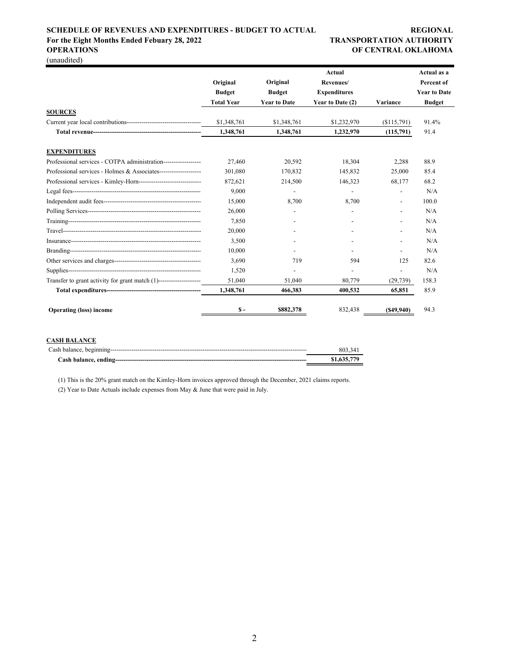### **SCHEDULE OF REVENUES AND EXPENDITURES - BUDGET TO ACTUAL REGIONAL** For the Eight Months Ended Febuary 28, 2022 TRANSPORTATION AUTHORITY

(unaudited)

# **OPERATIONS OF CENTRAL OKLAHOMA**

|                                                                     |                   |                     | Actual as a         |                          |                     |
|---------------------------------------------------------------------|-------------------|---------------------|---------------------|--------------------------|---------------------|
|                                                                     | Original          | Original            | Revenues/           |                          | Percent of          |
|                                                                     | <b>Budget</b>     | <b>Budget</b>       | <b>Expenditures</b> |                          | <b>Year to Date</b> |
|                                                                     | <b>Total Year</b> | <b>Year to Date</b> | Year to Date (2)    | Variance                 | <b>Budget</b>       |
| <b>SOURCES</b>                                                      |                   |                     |                     |                          |                     |
|                                                                     | \$1,348,761       | \$1,348,761         | \$1,232,970         | \$115,791)               | 91.4%               |
|                                                                     | 1,348,761         | 1,348,761           | 1,232,970           | (115,791)                | 91.4                |
| <b>EXPENDITURES</b>                                                 |                   |                     |                     |                          |                     |
| Professional services - COTPA administration------------------      | 27.460            | 20,592              | 18,304              | 2,288                    | 88.9                |
| Professional services - Holmes & Associates---------------------    | 301,080           | 170,832             | 145,832             | 25,000                   | 85.4                |
| Professional services - Kimley-Horn-------------------------------  | 872,621           | 214,500             | 146,323             | 68,177                   | 68.2                |
|                                                                     | 9.000             |                     |                     | $\overline{\phantom{a}}$ | N/A                 |
|                                                                     | 15,000            | 8.700               | 8,700               | $\overline{\phantom{a}}$ | 100.0               |
|                                                                     | 26,000            |                     |                     | $\overline{\phantom{a}}$ | N/A                 |
|                                                                     | 7.850             |                     |                     |                          | N/A                 |
|                                                                     | 20,000            |                     |                     |                          | N/A                 |
|                                                                     | 3,500             |                     |                     |                          | N/A                 |
|                                                                     | 10.000            |                     |                     |                          | N/A                 |
|                                                                     | 3.690             | 719                 | 594                 | 125                      | 82.6                |
|                                                                     | 1,520             |                     |                     |                          | N/A                 |
| Transfer to grant activity for grant match (1)--------------------- | 51,040            | 51,040              | 80,779              | (29, 739)                | 158.3               |
|                                                                     | 1,348,761         | 466,383             | 400,532             | 65,851                   | 85.9                |
| <b>Operating (loss) income</b>                                      | $S -$             | \$882,378           | 832,438             | (S49, 940)               | 94.3                |

### **CASH BALANCE**

| 803.341     |
|-------------|
| \$1,635,779 |

(1) This is the 20% grant match on the Kimley-Horn invoices approved through the December, 2021 claims reports.

(2) Year to Date Actuals include expenses from May & June that were paid in July.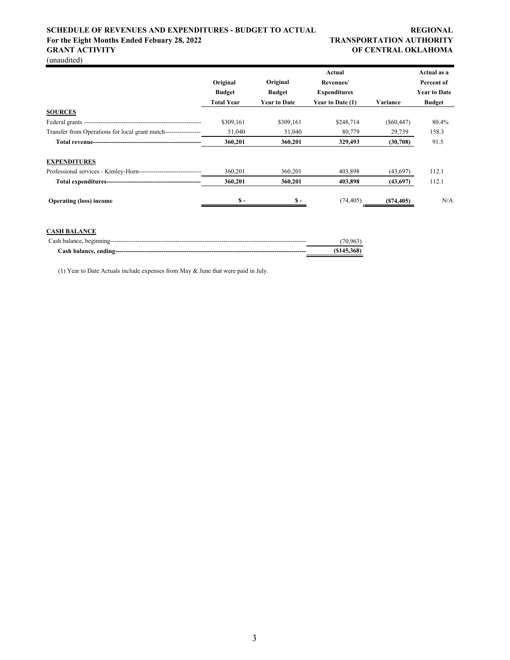### **SCHEDULE OF REVENUES AND EXPENDITURES - BUDGET TO ACTUAL REGIONAL REGIONAL** For the Eight Months Ended Febuary 28, 2022 TRANSPORTATION AUTHORITY **GRANT ACTIVITY OF CENTRAL OKLAHOMA**

(unaudited)

|                                                                    |               |                     | Actual              |              | Actual as a         |
|--------------------------------------------------------------------|---------------|---------------------|---------------------|--------------|---------------------|
|                                                                    | Original      | Original            | Revenues/           |              | Percent of          |
|                                                                    | <b>Budget</b> | <b>Budget</b>       | <b>Expenditures</b> |              | <b>Year to Date</b> |
|                                                                    | Total Year    | <b>Year to Date</b> | Year to Date (1)    | Variance     | <b>Budget</b>       |
| <b>SOURCES</b>                                                     |               |                     |                     |              |                     |
|                                                                    | \$309.161     | \$309,161           | \$248,714           | $(\$60,447)$ | 80.4%               |
| Transfer from Operations for local grant match------------------   | 51,040        | 51,040              | 80,779              | 29,739       | 158.3               |
|                                                                    | 360,201       | 360,201             | 329,493             | (30,708)     | 91.5                |
| <b>EXPENDITURES</b>                                                |               |                     |                     |              |                     |
| Professional services - Kimley-Horn------------------------------- | 360,201       | 360,201             | 403,898             | (43, 697)    | 112.1               |
|                                                                    | 360,201       | 360,201             | 403,898             | (43,697)     | 112.1               |
| <b>Operating (loss) income</b>                                     | $S -$         | \$ -                | (74, 405)           | (S74, 405)   | N/A                 |

### **CASH BALANCE**

| (70.963)   |
|------------|
| (S145.368) |

(1) Year to Date Actuals include expenses from May & June that were paid in July.